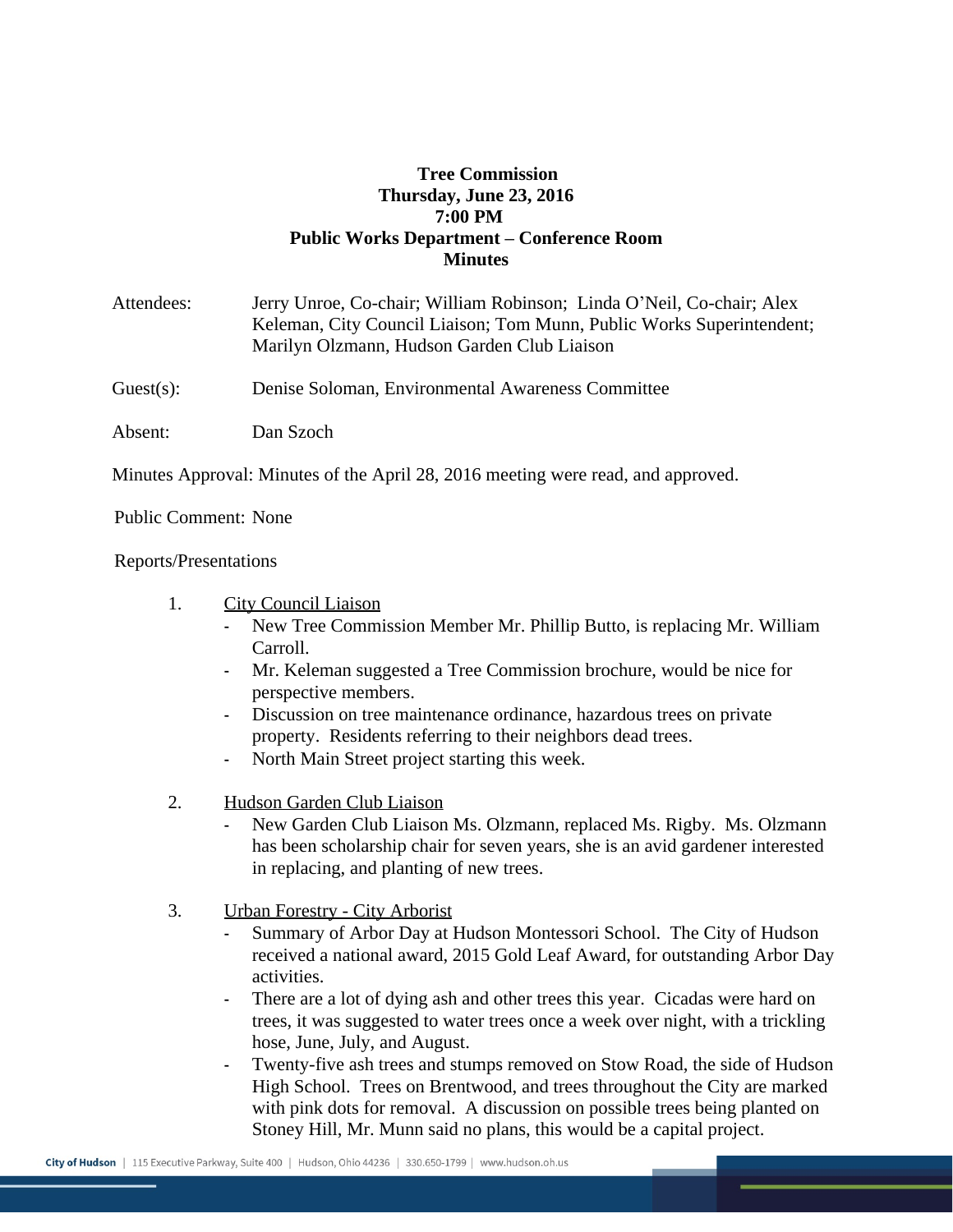## **Tree Commission Thursday, June 23, 2016 7:00 PM Public Works Department – Conference Room Minutes**

| Attendees:   | Jerry Unroe, Co-chair; William Robinson; Linda O'Neil, Co-chair; Alex<br>Keleman, City Council Liaison; Tom Munn, Public Works Superintendent;<br>Marilyn Olzmann, Hudson Garden Club Liaison |
|--------------|-----------------------------------------------------------------------------------------------------------------------------------------------------------------------------------------------|
| $Guest(s)$ : | Denise Soloman, Environmental Awareness Committee                                                                                                                                             |
| Absent:      | Dan Szoch                                                                                                                                                                                     |

Minutes Approval: Minutes of the April 28, 2016 meeting were read, and approved.

Public Comment: None

Reports/Presentations

- 1. City Council Liaison
	- New Tree Commission Member Mr. Phillip Butto, is replacing Mr. William Carroll.
	- Mr. Keleman suggested a Tree Commission brochure, would be nice for perspective members.
	- Discussion on tree maintenance ordinance, hazardous trees on private property. Residents referring to their neighbors dead trees.
	- North Main Street project starting this week.
- 2. Hudson Garden Club Liaison
	- New Garden Club Liaison Ms. Olzmann, replaced Ms. Rigby. Ms. Olzmann has been scholarship chair for seven years, she is an avid gardener interested in replacing, and planting of new trees.
- 3. Urban Forestry City Arborist
	- Summary of Arbor Day at Hudson Montessori School. The City of Hudson received a national award, 2015 Gold Leaf Award, for outstanding Arbor Day activities.
	- There are a lot of dying ash and other trees this year. Cicadas were hard on trees, it was suggested to water trees once a week over night, with a trickling hose, June, July, and August.
	- Twenty-five ash trees and stumps removed on Stow Road, the side of Hudson High School. Trees on Brentwood, and trees throughout the City are marked with pink dots for removal. A discussion on possible trees being planted on Stoney Hill, Mr. Munn said no plans, this would be a capital project.